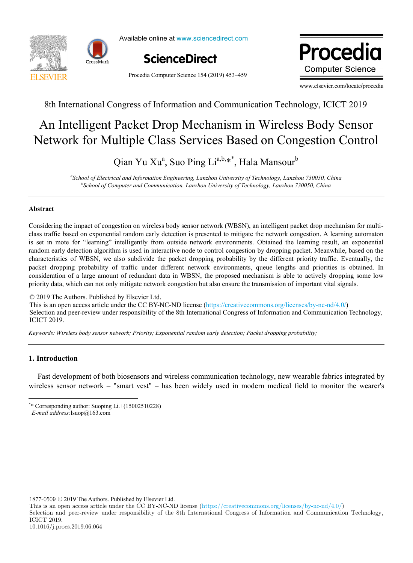



Available online at www.sciencedirect.com



Procedia Computer Science 154 (2019) 453–459

ww.elsevier.com/locate/procediate/procediate/procediate/procediate/procediate/procediate/procediate/ **Drocadic Computer Science** 

www.elsevier.com/locate/procedia  $8t\leq 10t$  International Congress of Information and  $C$  Information  $T$ 

8th International Congress of Information and Communication Technology, ICICT 2019

## n Intelligent Packet Drop Mechanism in Wireless Body Sens Network for Multiple Class Services Based on Congestion Control An Intelligent Packet Drop Mechanism in Wireless Body Sensor All interrigent factor Diop Mechanism in Wileiess Body Serison An Intelligent Packet Drop Mechanism in Wireless Body Sensor

 $\mu^a$ , Suo Ping Li<sup>a,0, $\ast$ </sup>, Hal  $\overline{\phantom{a}}$ , Suo Ping Lia,b, $\overline{\phantom{a}}$ , Hala Mansourbox, Hala Mansourbox, Hala Mansourbox, Hala Mansourbox, Hala Mansourbox, Hala Mansourbox, Hala Mansourbox, Hala Mansourbox, Hala Mansourbox, Hala Mansourbox, Hala Manso *School of Electrical and Information Engineering, Lanzhou University of Technology, Lanzhou 730050, China* Qian Yu Xu<sup>a</sup>, Suo Ping Li<sup>a,b,\*</sup>\*, Hala Mansour<sup>b</sup>

"School of Electrical and Information Engineering, Lanzhou University of Technology, Lanzhou 730050, China *b School of Computer and Communication, Lanzhou University of Technology, Lanzhou 730050, China*

# **Abstract Abstract**

Considering the impact of congestion on wireless body sensor network (WBSN), an intelligent packet drop mechanism for multiclass traffic based on exponential random early detection is presented to mitigate the network congestion. A learning automaton is set in mote for "learning" intelligently from outside network environments. Obtained the learning result, an exponential random early detection algorithm is used in interactive node to control congestion by dropping packet. Meanwhile, based on the characteristics of WBSN, we also subdivide the packet dropping probability by the different priority traffic. Eventually, the consideration of a large amount of redundant data in WBSN, the proposed mechanism is able to actively dropping some low The Consideration of a large amount of redundant data in widow, the proposed incentius in is able to actively dioppinpriority data, which can not only mitigate network congestion but also ensure the transmission of important vital signals. packet dropping probability of traffic under different network environments, queue lengths and priorities is obtained. In

© 2019 The Authors. Published by Elsevier Ltd. C 2019 The Authors. Published by Elsevier Ltd.<br>This is an open access article under the CC BY-NC-ND license (https://creativecommons.org/licenses/by-nc-nd/4.0/) Selection and peer-review under responsibility of the 8th International Congress of Information and Communication Technology, ICICT 2019. Telectron and peer fevrew. This is an open access article under the CC BY-NC-ND license (https://commons.org/licenses/by-nc-nd/4.0/) in  $\alpha$  and  $\beta$  (https://creativecommons.org/licenses/by-nc-nd/4.0/) in  $\alpha$  and  $\beta$  (https://) in  $\alpha$  and  $\beta$  Peer-review under responsibility of organizing committee of the 8th International Congress of Information and Communication

*Keywords: Wireless body sensor network; Priority; Exponential random early detection; Packet dropping probability; Keywords: Wireless body sensor network; Priority; Exponential random early detection; Packet dropping probability;*

#### \* a  $\Delta$  $\ddot{\mathbf{B}}$  and  $\ddot{\mathbf{B}}$  sharehold  $\ddot{\mathbf{B}}$ **1. Introduction**

Fast development of both biosensors and wireless communication technology, new wearable fabrics integrated by wireless sensor network – "smart vest" – has been widely used in modern medical field to monitor the wearer's

1877-0509 © 2019 The Authors. Published by Elsevier Ltd.

This is an open access article under the CC BY-NC-ND license (https://creativecommons.org/licenses/by-nc-nd/4.0/)

Selection and peer-review under responsibility of the 8th International Congress of Information and Communication Technology, ICICT 2019.

Interaction Design " (18DWY); Jiangsu Province Academic Design Art Research of Su Zuo Art Research of Su Zuo A<br>Jiangsu Projects "Design Art Research of Su Zuo Art Research of Su Zuo Art Research of Su Zuo Art Research of \*\* Corresponding author: Suoping Li.+ $(15002510228)$ E-mail address: lsuop@163.com \* \*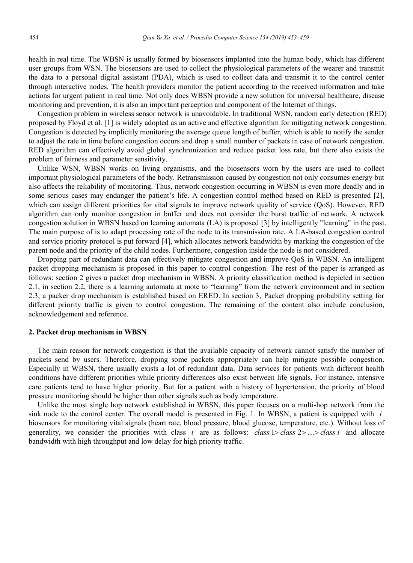health in real time. The WBSN is usually formed by biosensors implanted into the human body, which has different user groups from WSN. The biosensors are used to collect the physiological parameters of the wearer and transmit the data to a personal digital assistant (PDA), which is used to collect data and transmit it to the control center through interactive nodes. The health providers monitor the patient according to the received information and take actions for urgent patient in real time. Not only does WBSN provide a new solution for universal healthcare, disease monitoring and prevention, it is also an important perception and component of the Internet of things.

Congestion problem in wireless sensor network is unavoidable. In traditional WSN, random early detection (RED) proposed by Floyd et al. [1] is widely adopted as an active and effective algorithm for mitigating network congestion. Congestion is detected by implicitly monitoring the average queue length of buffer, which is able to notify the sender to adjust the rate in time before congestion occurs and drop a small number of packets in case of network congestion. RED algorithm can effectively avoid global synchronization and reduce packet loss rate, but there also exists the problem of fairness and parameter sensitivity.

Unlike WSN, WBSN works on living organisms, and the biosensors worn by the users are used to collect important physiological parameters of the body. Retransmission caused by congestion not only consumes energy but also affects the reliability of monitoring. Thus, network congestion occurring in WBSN is even more deadly and in some serious cases may endanger the patient's life. A congestion control method based on RED is presented [2], which can assign different priorities for vital signals to improve network quality of service (QoS). However, RED algorithm can only monitor congestion in buffer and does not consider the burst traffic of network. A network congestion solution in WBSN based on learning automata (LA) is proposed [3] by intelligently "learning" in the past. The main purpose of is to adapt processing rate of the node to its transmission rate. A LA-based congestion control and service priority protocol is put forward [4], which allocates network bandwidth by marking the congestion of the parent node and the priority of the child nodes. Furthermore, congestion inside the node is not considered.

Dropping part of redundant data can effectively mitigate congestion and improve QoS in WBSN. An intelligent packet dropping mechanism is proposed in this paper to control congestion. The rest of the paper is arranged as follows: section 2 gives a packet drop mechanism in WBSN. A priority classification method is depicted in section 2.1, in section 2.2, there is a learning automata at mote to "learning" from the network environment and in section 2.3, a packer drop mechanism is established based on ERED. In section 3, Packet dropping probability setting for different priority traffic is given to control congestion. The remaining of the content also include conclusion, acknowledgement and reference.

#### **2. Packet drop mechanism in WBSN**

The main reason for network congestion is that the available capacity of network cannot satisfy the number of packets send by users. Therefore, dropping some packets appropriately can help mitigate possible congestion. Especially in WBSN, there usually exists a lot of redundant data. Data services for patients with different health conditions have different priorities while priority differences also exist between life signals. For instance, intensive care patients tend to have higher priority. But for a patient with a history of hypertension, the priority of blood pressure monitoring should be higher than other signals such as body temperature.

Unlike the most single hop network established in WBSN, this paper focuses on a multi-hop network from the sink node to the control center. The overall model is presented in Fig. 1. In WBSN, a patient is equipped with *i* biosensors for monitoring vital signals (heart rate, blood pressure, blood glucose, temperature, etc.). Without loss of generality, we consider the priorities with class *i* are as follows: *class*  $1 > class 2 > ... > class i$  and allocate bandwidth with high throughput and low delay for high priority traffic.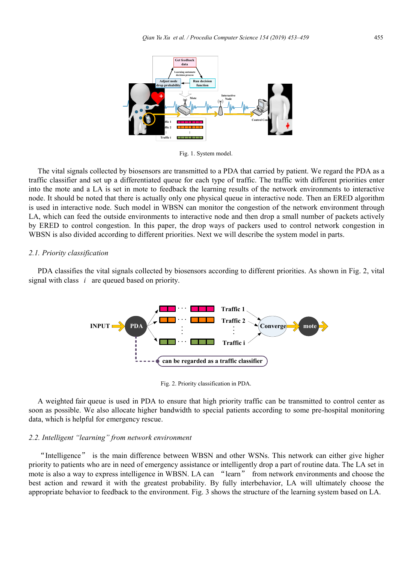

Fig. 1. System model.

The vital signals collected by biosensors are transmitted to a PDA that carried by patient. We regard the PDA as a traffic classifier and set up a differentiated queue for each type of traffic. The traffic with different priorities enter into the mote and a LA is set in mote to feedback the learning results of the network environments to interactive node. It should be noted that there is actually only one physical queue in interactive node. Then an ERED algorithm is used in interactive node. Such model in WBSN can monitor the congestion of the network environment through LA, which can feed the outside environments to interactive node and then drop a small number of packets actively by ERED to control congestion. In this paper, the drop ways of packers used to control network congestion in WBSN is also divided according to different priorities. Next we will describe the system model in parts.

### *2.1. Priority classification*

PDA classifies the vital signals collected by biosensors according to different priorities. As shown in Fig. 2, vital signal with class *i* are queued based on priority.



Fig. 2. Priority classification in PDA.

A weighted fair queue is used in PDA to ensure that high priority traffic can be transmitted to control center as soon as possible. We also allocate higher bandwidth to special patients according to some pre-hospital monitoring data, which is helpful for emergency rescue.

## *2.2. Intelligent "learning" from network environment*

"Intelligence" is the main difference between WBSN and other WSNs. This network can either give higher priority to patients who are in need of emergency assistance or intelligently drop a part of routine data. The LA set in mote is also a way to express intelligence in WBSN. LA can "learn" from network environments and choose the best action and reward it with the greatest probability. By fully interbehavior, LA will ultimately choose the appropriate behavior to feedback to the environment. Fig. 3 shows the structure of the learning system based on LA.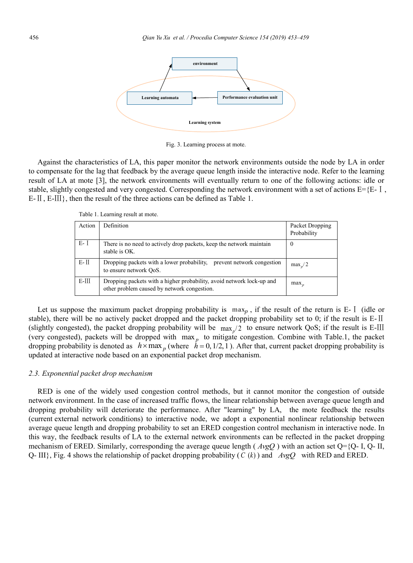

Fig. 3. Learning process at mote.

Against the characteristics of LA, this paper monitor the network environments outside the node by LA in order to compensate for the lag that feedback by the average queue length inside the interactive node. Refer to the learning result of LA at mote [3], the network environments will eventually return to one of the following actions: idle or stable, slightly congested and very congested. Corresponding the network environment with a set of actions  $E = \{E - I\}$ , E-Ⅱ, E-Ⅲ}, then the result of the three actions can be defined as Table 1.

| Action | Definition                                                                                                           | Packet Dropping<br>Probability |
|--------|----------------------------------------------------------------------------------------------------------------------|--------------------------------|
| $E-I$  | There is no need to actively drop packets, keep the network maintain<br>stable is OK.                                | 0                              |
| $E-II$ | Dropping packets with a lower probability, prevent network congestion<br>to ensure network OoS.                      | $\max_{n}/2$                   |
| E-III  | Dropping packets with a higher probability, avoid network lock-up and<br>other problem caused by network congestion. | $max_{n}$                      |

Let us suppose the maximum packet dropping probability is max*<sup>p</sup>* , if the result of the return is E-Ⅰ (idle or stable), there will be no actively packet dropped and the packet dropping probability set to 0; if the result is E-Ⅱ (slightly congested), the packet dropping probability will be  $max_n/2$  to ensure network QoS; if the result is E-Ⅲ (very congested), packets will be dropped with max *<sup>p</sup>* to mitigate congestion. Combine with Table.1, the packet dropping probability is denoted as  $h \times \max_{p}$  (where  $\dot{h} = 0, 1/2, 1$ ). After that, current packet dropping probability is updated at interactive node based on an exponential packet drop mechanism.

#### *2.3. Exponential packet drop mechanism*

RED is one of the widely used congestion control methods, but it cannot monitor the congestion of outside network environment. In the case of increased traffic flows, the linear relationship between average queue length and dropping probability will deteriorate the performance. After "learning" by LA, the mote feedback the results (current external network conditions) to interactive node, we adopt a exponential nonlinear relationship between average queue length and dropping probability to set an ERED congestion control mechanism in interactive node. In this way, the feedback results of LA to the external network environments can be reflected in the packet dropping mechanism of ERED. Similarly, corresponding the average queue length ( $AvgQ$ ) with an action set  $Q = \{Q - I, Q - II, Q\}$ Q- III}, Fig. 4 shows the relationship of packet dropping probability (*C* (*k*) ) and *AvgQ* with RED and ERED.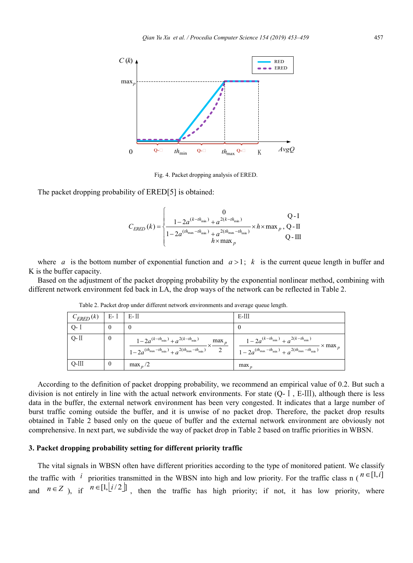

Fig. 4. Packet dropping analysis of ERED.

The packet dropping probability of ERED[5] is obtained:

$$
C_{ERED}(k) = \begin{cases} 0 & Q-1\\ \frac{1 - 2a^{(k - th_{\min})} + a^{2(k - th_{\min})}}{1 - 2a^{(th_{\max} - th_{\min})} + a^{2(th_{\max} - th_{\min})}} \times h \times \max_{p} , Q - \text{II} \\ \hline h \times \max_{p} \end{cases}
$$

where *a* is the bottom number of exponential function and  $a > 1$ ; *k* is the current queue length in buffer and K is the buffer capacity.

Based on the adjustment of the packet dropping probability by the exponential nonlinear method, combining with different network environment fed back in LA, the drop ways of the network can be reflected in Table 2.

| $C_{ERED}(k)$   E- I   E- II |                |                                                                                                                                  | $E-III$                                                                                                                                     |
|------------------------------|----------------|----------------------------------------------------------------------------------------------------------------------------------|---------------------------------------------------------------------------------------------------------------------------------------------|
| $O-1$                        |                | 0                                                                                                                                | U                                                                                                                                           |
| $O-I$                        | $\theta$       | $1-2a^{(k-th_{\min})}+a^{2(k-th_{\min})}$<br>$max_{p}$<br>$1 - 2a^{(th_{\max} - th_{\min})} + a^{2(th_{\max} - th_{\min})}$<br>2 | $1 - 2a^{(k-th_{\min})} + a^{2(k-th_{\min})}$<br>$\times$ max $\alpha$<br>$1 - 2a^{(th_{\max} - th_{\min})} + a^{2(th_{\max} - th_{\min})}$ |
| Q-III                        | $\overline{0}$ | $\max_{p}$ /2                                                                                                                    | max                                                                                                                                         |

Table 2. Packet drop under different network environments and average queue length.

According to the definition of packet dropping probability, we recommend an empirical value of 0.2. But such a division is not entirely in line with the actual network environments. For state (Q-Ⅰ, E-Ⅲ), although there is less data in the buffer, the external network environment has been very congested. It indicates that a large number of burst traffic coming outside the buffer, and it is unwise of no packet drop. Therefore, the packet drop results obtained in Table 2 based only on the queue of buffer and the external network environment are obviously not comprehensive. In next part, we subdivide the way of packet drop in Table 2 based on traffic priorities in WBSN.

## **3. Packet dropping probability setting for different priority traffic**

The vital signals in WBSN often have different priorities according to the type of monitored patient. We classify the traffic with  $i$  priorities transmitted in the WBSN into high and low priority. For the traffic class n ( $n \in [1, i]$ ) and  $n \in \mathbb{Z}$  ), if  $n \in [1, i/2]$  , then the traffic has high priority; if not, it has low priority, where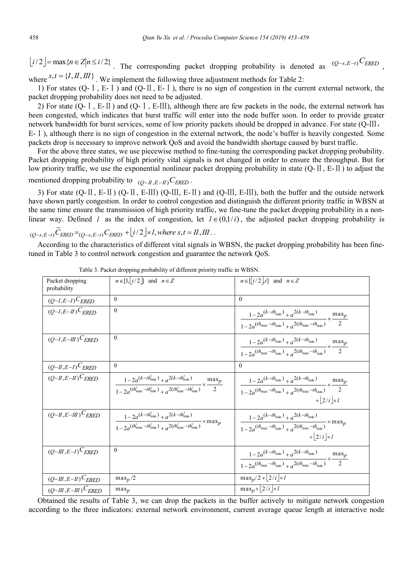$i/2$  = max { $n \in \mathbb{Z} \mid n \le i/2$ }. The corresponding packet dropping probability is denoted as  $(Q-s, E-t)$ *CERED* 

where  $s, t = \{I, II, III\}$ . We implement the following three adjustment methods for Table 2:

1) For states (Q-Ⅰ, E-Ⅰ) and (Q-Ⅱ, E-Ⅰ), there is no sign of congestion in the current external network, the packet dropping probability does not need to be adjusted.

2) For state (Q-Ⅰ, E-Ⅱ) and (Q-Ⅰ, E-Ⅲ), although there are few packets in the node, the external network has been congested, which indicates that burst traffic will enter into the node buffer soon. In order to provide greater network bandwidth for burst services, some of low priority packets should be dropped in advance. For state (Q-Ⅲ, E-Ⅰ), although there is no sign of congestion in the external network, the node's buffer is heavily congested. Some

packets drop is necessary to improve network QoS and avoid the bandwidth shortage caused by burst traffic. For the above three states, we use piecewise method to fine-tuning the corresponding packet dropping probability. Packet dropping probability of high priority vital signals is not changed in order to ensure the throughput. But for low priority traffic, we use the exponential nonlinear packet dropping probability in state (Q-Ⅱ, E-Ⅱ) to adjust the

mentioned dropping probability to  $_{(O-H,E-H)}C_{ERED}$ .

3) For state (Q-Ⅱ, E-Ⅱ) (Q-Ⅱ, E-Ⅲ) (Q-Ⅲ, E-Ⅱ) and (Q-Ⅲ, E-Ⅲ), both the buffer and the outside network have shown partly congestion. In order to control congestion and distinguish the different priority traffic in WBSN at the same time ensure the transmission of high priority traffic, we fine-tune the packet dropping probability in a nonlinear way. Defined *l* as the index of congestion, let  $l \in (0,1/i)$ , the adjusted packet dropping probability is

$$
_{(Q-s,E-t)}\widetilde{C}_{ERED} =_{(Q-s,E-t)} C_{ERED} + \lfloor i/2 \rfloor \times l, where s,t = II, III.
$$

According to the characteristics of different vital signals in WBSN, the packet dropping probability has been finetuned in Table 3 to control network congestion and guarantee the network QoS.

| Packet dropping<br>probability   | $n \in [1, \lfloor i/2 \rfloor]$ and $n \in Z$                                                                                                   | $n \in [\lfloor i/2 \rfloor, i]$ and $n \in \mathbb{Z}$                                                                                                                                  |
|----------------------------------|--------------------------------------------------------------------------------------------------------------------------------------------------|------------------------------------------------------------------------------------------------------------------------------------------------------------------------------------------|
| $(Q-I,E-I)^C$ <sub>ERED</sub>    | $\theta$                                                                                                                                         | $\mathbf{0}$                                                                                                                                                                             |
| $(Q-I,E-II)C_{ERED}$             | $\mathbf{0}$                                                                                                                                     | $1-2a^{(k-th_{\min})}+a^{2(k-th_{\min})}$<br>$\frac{\frac{1}{1-2a^{(th_{\max}-th_{\min})}+a^{2(th_{\max}-th_{\min})}} \times \frac{\max_p}{2}}{1-2a^{(th_{\max}-th_{\min})}}$            |
| $(Q-I,E-HI)^C$ <sub>ERED</sub>   | $\boldsymbol{0}$                                                                                                                                 | $\frac{1-2a^{(k-th_{\min})}+a^{2(k-th_{\min})}}{1-2a^{(th_{\max}-th_{\min})}+a^{2(th_{\max}-th_{\min})}} \times \frac{\max_{p}}{2}$                                                      |
| $(Q-H,E-I)^C$ <sub>ERED</sub>    | $\mathbf{0}$                                                                                                                                     | $\theta$                                                                                                                                                                                 |
| $(Q-H,E-H)$ <sup>C</sup> ERED    | $\frac{1-2a^{(k-th_{\min}^i)}+a^{2(k-th_{\min}^i)}}{1-2a^{(th_{\max}^i-th_{\min}^i)}+a^{2(th_{\max}^i-th_{\min}^i)}}{ \times } \frac{\max_p}{2}$ | $\frac{1-2a^{(k-th_{\min})}+a^{2(k-th_{\min})}}{1-2a^{(th_{\max}-th_{\min})}+a^{2(th_{\max}-th_{\min})}}\times \frac{\max_{p}}{2}$<br>$+\left\lfloor \frac{2}{i} \right\rfloor \times l$ |
| $(Q-H,E-HI)$ <sup>C</sup> ERED   | $\frac{1-2a^{(k-th_{\min}^i)}+a^{2(k-th_{\min}^i)}}{1-2a^{(th_{\max}^i-th_{\min}^i)}+a^{2(th_{\max}^i-th_{\min}^i)}} \times \max_{p}$            | $\frac{1-2a^{(k-th_{\min})}+a^{2(k-th_{\min})}}{1-2a^{(th_{\max}-th_{\min})}+a^{2(th_{\max}-th_{\min})}} \times \max_{p}$<br>$+\left\lfloor \frac{2}{i}\right\rfloor \times l$           |
| $(Q-HI,E-I)^C$ <sub>ERED</sub>   | $\mathbf{0}$                                                                                                                                     | $\frac{1-2a^{(k-th_{\min})}+a^{2(k-th_{\min})}}{1-2a^{(th_{\max}-th_{\min})}+a^{2(th_{\max}-th_{\min})}}\times\frac{\max_{p}}{2}$                                                        |
| $(Q-HI,E-H)$ <sup>C</sup> ERED   | $\max_{p} / 2$                                                                                                                                   | $\max_{p}/2 + \lfloor 2/i \rfloor \times l$                                                                                                                                              |
| $(Q-HI, E-HI)$ <sup>C</sup> ERED | $max_p$                                                                                                                                          | $\max_{p}$ + $\left\lfloor \frac{2}{i} \right\rfloor$ × <i>l</i>                                                                                                                         |

Table 3. Packet dropping probability of different priority traffic in WBSN.

Obtained the results of Table 3, we can drop the packets in the buffer actively to mitigate network congestion according to the three indicators: external network environment, current average queue length at interactive node